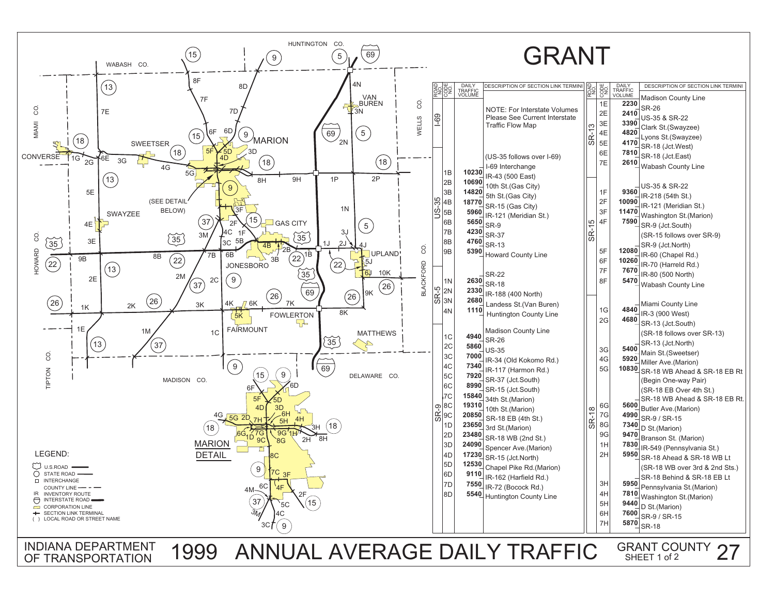